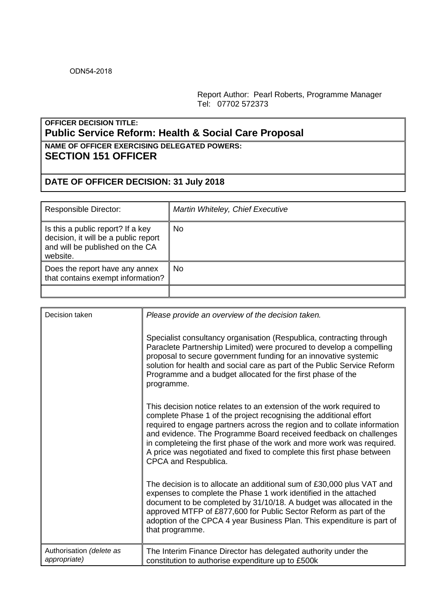Report Author: Pearl Roberts, Programme Manager Tel: 07702 572373

## **OFFICER DECISION TITLE: Public Service Reform: Health & Social Care Proposal**

## **NAME OF OFFICER EXERCISING DELEGATED POWERS: SECTION 151 OFFICER**

## **DATE OF OFFICER DECISION: 31 July 2018**

| Responsible Director:                                                                                                    | Martin Whiteley, Chief Executive |
|--------------------------------------------------------------------------------------------------------------------------|----------------------------------|
| Is this a public report? If a key<br>decision, it will be a public report<br>and will be published on the CA<br>website. | No.                              |
| Does the report have any annex<br>that contains exempt information?                                                      | No.                              |
|                                                                                                                          |                                  |

| Decision taken                           | Please provide an overview of the decision taken.                                                                                                                                                                                                                                                                                                                                                                                                                     |
|------------------------------------------|-----------------------------------------------------------------------------------------------------------------------------------------------------------------------------------------------------------------------------------------------------------------------------------------------------------------------------------------------------------------------------------------------------------------------------------------------------------------------|
|                                          | Specialist consultancy organisation (Respublica, contracting through<br>Paraclete Partnership Limited) were procured to develop a compelling<br>proposal to secure government funding for an innovative systemic<br>solution for health and social care as part of the Public Service Reform<br>Programme and a budget allocated for the first phase of the<br>programme.                                                                                             |
|                                          | This decision notice relates to an extension of the work required to<br>complete Phase 1 of the project recognising the additional effort<br>required to engage partners across the region and to collate information<br>and evidence. The Programme Board received feedback on challenges<br>in completeing the first phase of the work and more work was required.<br>A price was negotiated and fixed to complete this first phase between<br>CPCA and Respublica. |
|                                          | The decision is to allocate an additional sum of £30,000 plus VAT and<br>expenses to complete the Phase 1 work identified in the attached<br>document to be completed by 31/10/18. A budget was allocated in the<br>approved MTFP of £877,600 for Public Sector Reform as part of the<br>adoption of the CPCA 4 year Business Plan. This expenditure is part of<br>that programme.                                                                                    |
| Authorisation (delete as<br>appropriate) | The Interim Finance Director has delegated authority under the<br>constitution to authorise expenditure up to £500k                                                                                                                                                                                                                                                                                                                                                   |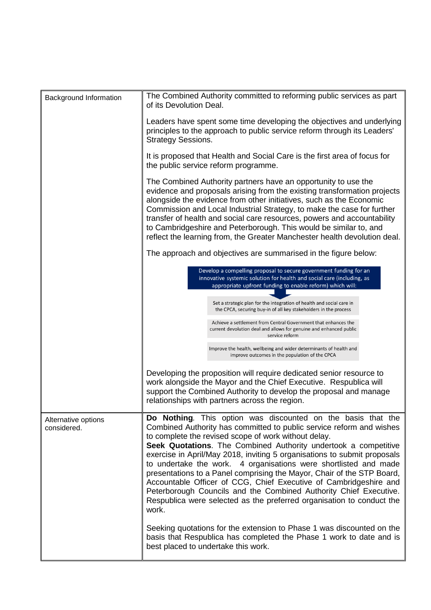| Background Information             | The Combined Authority committed to reforming public services as part<br>of its Devolution Deal.                                                                                                                                                                                                                                                                                                                                                                                                                                                                                                                                                                                                                      |  |  |  |  |
|------------------------------------|-----------------------------------------------------------------------------------------------------------------------------------------------------------------------------------------------------------------------------------------------------------------------------------------------------------------------------------------------------------------------------------------------------------------------------------------------------------------------------------------------------------------------------------------------------------------------------------------------------------------------------------------------------------------------------------------------------------------------|--|--|--|--|
|                                    | Leaders have spent some time developing the objectives and underlying<br>principles to the approach to public service reform through its Leaders'<br><b>Strategy Sessions.</b>                                                                                                                                                                                                                                                                                                                                                                                                                                                                                                                                        |  |  |  |  |
|                                    | It is proposed that Health and Social Care is the first area of focus for<br>the public service reform programme.                                                                                                                                                                                                                                                                                                                                                                                                                                                                                                                                                                                                     |  |  |  |  |
|                                    | The Combined Authority partners have an opportunity to use the<br>evidence and proposals arising from the existing transformation projects<br>alongside the evidence from other initiatives, such as the Economic<br>Commission and Local Industrial Strategy, to make the case for further<br>transfer of health and social care resources, powers and accountability<br>to Cambridgeshire and Peterborough. This would be similar to, and<br>reflect the learning from, the Greater Manchester health devolution deal.                                                                                                                                                                                              |  |  |  |  |
|                                    | The approach and objectives are summarised in the figure below:                                                                                                                                                                                                                                                                                                                                                                                                                                                                                                                                                                                                                                                       |  |  |  |  |
|                                    | Develop a compelling proposal to secure government funding for an<br>innovative systemic solution for health and social care (including, as<br>appropriate upfront funding to enable reform) which will:                                                                                                                                                                                                                                                                                                                                                                                                                                                                                                              |  |  |  |  |
|                                    | Set a strategic plan for the integration of health and social care in<br>the CPCA, securing buy-in of all key stakeholders in the process                                                                                                                                                                                                                                                                                                                                                                                                                                                                                                                                                                             |  |  |  |  |
|                                    | Achieve a settlement from Central Government that enhances the<br>current devolution deal and allows for genuine and enhanced public<br>service reform                                                                                                                                                                                                                                                                                                                                                                                                                                                                                                                                                                |  |  |  |  |
|                                    | Improve the health, wellbeing and wider determinants of health and<br>improve outcomes in the population of the CPCA                                                                                                                                                                                                                                                                                                                                                                                                                                                                                                                                                                                                  |  |  |  |  |
|                                    | Developing the proposition will require dedicated senior resource to<br>work alongside the Mayor and the Chief Executive. Respublica will<br>support the Combined Authority to develop the proposal and manage<br>relationships with partners across the region.                                                                                                                                                                                                                                                                                                                                                                                                                                                      |  |  |  |  |
| Alternative options<br>considered. | Do Nothing. This option was discounted on the basis that the<br>Combined Authority has committed to public service reform and wishes<br>to complete the revised scope of work without delay.<br>Seek Quotations. The Combined Authority undertook a competitive<br>exercise in April/May 2018, inviting 5 organisations to submit proposals<br>to undertake the work. 4 organisations were shortlisted and made<br>presentations to a Panel comprising the Mayor, Chair of the STP Board,<br>Accountable Officer of CCG, Chief Executive of Cambridgeshire and<br>Peterborough Councils and the Combined Authority Chief Executive.<br>Respublica were selected as the preferred organisation to conduct the<br>work. |  |  |  |  |
|                                    | Seeking quotations for the extension to Phase 1 was discounted on the<br>basis that Respublica has completed the Phase 1 work to date and is<br>best placed to undertake this work.                                                                                                                                                                                                                                                                                                                                                                                                                                                                                                                                   |  |  |  |  |